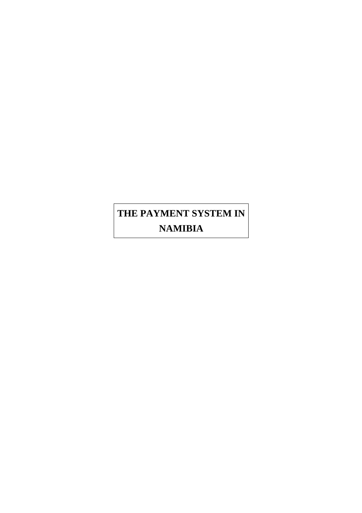# **THE PAYMENT SYSTEM IN NAMIBIA**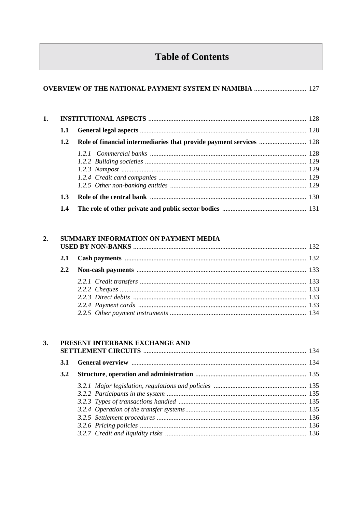# **Table of Contents**

# **OVERVIEW OF THE NATIONAL PAYMENT SYSTEM IN NAMIBIA .............................** 127

| 1.1           |  |  |  |
|---------------|--|--|--|
| $1.2^{\circ}$ |  |  |  |
|               |  |  |  |
|               |  |  |  |
|               |  |  |  |
|               |  |  |  |
|               |  |  |  |
| 1.3           |  |  |  |
| 1.4           |  |  |  |

#### 2. SUMMARY INFORMATION ON PAYMENT MEDIA  $\overline{a}$  ,  $\overline{a}$

| <b>3.2</b> |  |                                       |
|------------|--|---------------------------------------|
|            |  |                                       |
|            |  |                                       |
|            |  |                                       |
|            |  |                                       |
|            |  |                                       |
|            |  |                                       |
|            |  |                                       |
|            |  | PRESENT INTERBANK EXCHANGE AND<br>3.1 |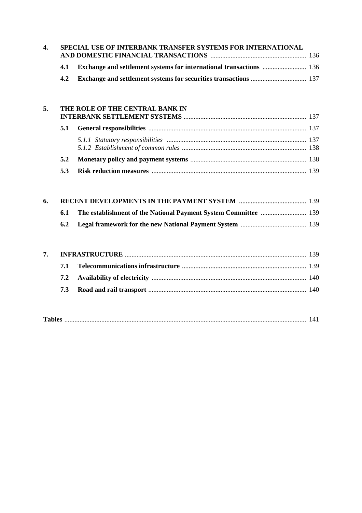| 4. | SPECIAL USE OF INTERBANK TRANSFER SYSTEMS FOR INTERNATIONAL |  |  |  |  |
|----|-------------------------------------------------------------|--|--|--|--|
|    |                                                             |  |  |  |  |
|    |                                                             |  |  |  |  |
|    | 4.2                                                         |  |  |  |  |

#### **5. THE ROLE OF THE CENTRAL BANK IN INTERBANK SETTLEMENT SYSTEMS** ......................................................................... 137

| 6. |            |  |
|----|------------|--|
|    | <b>6.1</b> |  |
|    |            |  |

|--|--|--|--|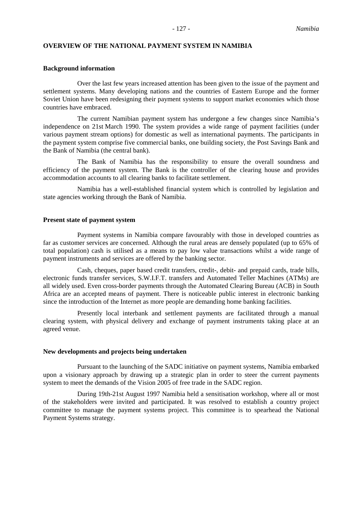#### **OVERVIEW OF THE NATIONAL PAYMENT SYSTEM IN NAMIBIA**

#### **Background information**

Over the last few years increased attention has been given to the issue of the payment and settlement systems. Many developing nations and the countries of Eastern Europe and the former Soviet Union have been redesigning their payment systems to support market economies which those countries have embraced.

The current Namibian payment system has undergone a few changes since Namibia's independence on 21st March 1990. The system provides a wide range of payment facilities (under various payment stream options) for domestic as well as international payments. The participants in the payment system comprise five commercial banks, one building society, the Post Savings Bank and the Bank of Namibia (the central bank).

The Bank of Namibia has the responsibility to ensure the overall soundness and efficiency of the payment system. The Bank is the controller of the clearing house and provides accommodation accounts to all clearing banks to facilitate settlement.

Namibia has a well-established financial system which is controlled by legislation and state agencies working through the Bank of Namibia.

#### **Present state of payment system**

Payment systems in Namibia compare favourably with those in developed countries as far as customer services are concerned. Although the rural areas are densely populated (up to 65% of total population) cash is utilised as a means to pay low value transactions whilst a wide range of payment instruments and services are offered by the banking sector.

Cash, cheques, paper based credit transfers, credit-, debit- and prepaid cards, trade bills, electronic funds transfer services, S.W.I.F.T. transfers and Automated Teller Machines (ATMs) are all widely used. Even cross-border payments through the Automated Clearing Bureau (ACB) in South Africa are an accepted means of payment. There is noticeable public interest in electronic banking since the introduction of the Internet as more people are demanding home banking facilities.

Presently local interbank and settlement payments are facilitated through a manual clearing system, with physical delivery and exchange of payment instruments taking place at an agreed venue.

#### **New developments and projects being undertaken**

Pursuant to the launching of the SADC initiative on payment systems, Namibia embarked upon a visionary approach by drawing up a strategic plan in order to steer the current payments system to meet the demands of the Vision 2005 of free trade in the SADC region.

During 19th-21st August 1997 Namibia held a sensitisation workshop, where all or most of the stakeholders were invited and participated. It was resolved to establish a country project committee to manage the payment systems project. This committee is to spearhead the National Payment Systems strategy.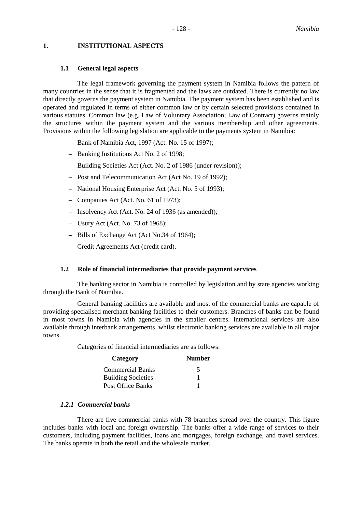#### **1. INSTITUTIONAL ASPECTS**

#### **1.1 General legal aspects**

The legal framework governing the payment system in Namibia follows the pattern of many countries in the sense that it is fragmented and the laws are outdated. There is currently no law that directly governs the payment system in Namibia. The payment system has been established and is operated and regulated in terms of either common law or by certain selected provisions contained in various statutes. Common law (e.g. Law of Voluntary Association; Law of Contract) governs mainly the structures within the payment system and the various membership and other agreements. Provisions within the following legislation are applicable to the payments system in Namibia:

- Bank of Namibia Act, 1997 (Act. No. 15 of 1997);
- Banking Institutions Act No. 2 of 1998;
- Building Societies Act (Act. No. 2 of 1986 (under revision));
- Post and Telecommunication Act (Act No. 19 of 1992);
- National Housing Enterprise Act (Act. No. 5 of 1993);
- Companies Act (Act. No. 61 of 1973);
- Insolvency Act (Act. No. 24 of 1936 (as amended));
- Usury Act (Act. No. 73 of 1968);
- Bills of Exchange Act (Act No.34 of 1964);
- Credit Agreements Act (credit card).

#### **1.2 Role of financial intermediaries that provide payment services**

The banking sector in Namibia is controlled by legislation and by state agencies working through the Bank of Namibia.

General banking facilities are available and most of the commercial banks are capable of providing specialised merchant banking facilities to their customers. Branches of banks can be found in most towns in Namibia with agencies in the smaller centres. International services are also available through interbank arrangements, whilst electronic banking services are available in all major towns.

Categories of financial intermediaries are as follows:

| Category                  | <b>Number</b> |
|---------------------------|---------------|
| <b>Commercial Banks</b>   | 5             |
| <b>Building Societies</b> |               |
| Post Office Banks         |               |

#### *1.2.1 Commercial banks*

There are five commercial banks with 78 branches spread over the country. This figure includes banks with local and foreign ownership. The banks offer a wide range of services to their customers, including payment facilities, loans and mortgages, foreign exchange, and travel services. The banks operate in both the retail and the wholesale market.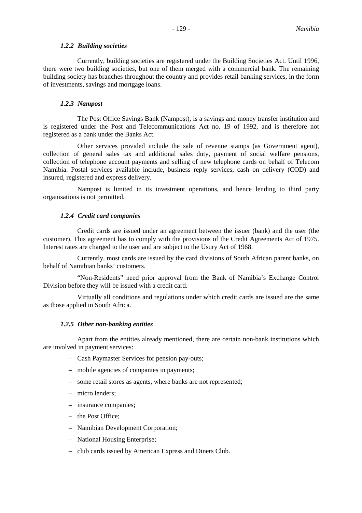#### *1.2.2 Building societies*

Currently, building societies are registered under the Building Societies Act. Until 1996, there were two building societies, but one of them merged with a commercial bank. The remaining building society has branches throughout the country and provides retail banking services, in the form of investments, savings and mortgage loans.

# *1.2.3 Nampost*

The Post Office Savings Bank (Nampost), is a savings and money transfer institution and is registered under the Post and Telecommunications Act no. 19 of 1992, and is therefore not registered as a bank under the Banks Act.

Other services provided include the sale of revenue stamps (as Government agent), collection of general sales tax and additional sales duty, payment of social welfare pensions, collection of telephone account payments and selling of new telephone cards on behalf of Telecom Namibia. Postal services available include, business reply services, cash on delivery (COD) and insured, registered and express delivery.

Nampost is limited in its investment operations, and hence lending to third party organisations is not permitted.

#### *1.2.4 Credit card companies*

Credit cards are issued under an agreement between the issuer (bank) and the user (the customer). This agreement has to comply with the provisions of the Credit Agreements Act of 1975. Interest rates are charged to the user and are subject to the Usury Act of 1968.

Currently, most cards are issued by the card divisions of South African parent banks, on behalf of Namibian banks' customers.

"Non-Residents" need prior approval from the Bank of Namibia's Exchange Control Division before they will be issued with a credit card.

Virtually all conditions and regulations under which credit cards are issued are the same as those applied in South Africa.

#### *1.2.5 Other non-banking entities*

Apart from the entities already mentioned, there are certain non-bank institutions which are involved in payment services:

- Cash Paymaster Services for pension pay-outs;
- mobile agencies of companies in payments;
- some retail stores as agents, where banks are not represented;
- micro lenders;
- insurance companies;
- the Post Office;
- Namibian Development Corporation;
- National Housing Enterprise;
- club cards issued by American Express and Diners Club.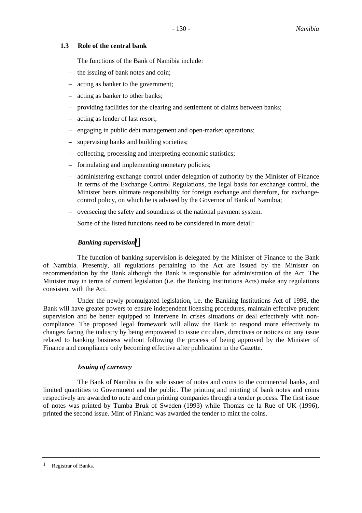# **1.3 Role of the central bank**

The functions of the Bank of Namibia include:

- the issuing of bank notes and coin;
- acting as banker to the government;
- acting as banker to other banks;
- providing facilities for the clearing and settlement of claims between banks;
- acting as lender of last resort;
- engaging in public debt management and open-market operations;
- supervising banks and building societies;
- collecting, processing and interpreting economic statistics;
- formulating and implementing monetary policies;
- administering exchange control under delegation of authority by the Minister of Finance In terms of the Exchange Control Regulations, the legal basis for exchange control, the Minister bears ultimate responsibility for foreign exchange and therefore, for exchangecontrol policy, on which he is advised by the Governor of Bank of Namibia;
- overseeing the safety and soundness of the national payment system.

Some of the listed functions need to be considered in more detail:

# *Banking supervision1*

The function of banking supervision is delegated by the Minister of Finance to the Bank of Namibia. Presently, all regulations pertaining to the Act are issued by the Minister on recommendation by the Bank although the Bank is responsible for administration of the Act. The Minister may in terms of current legislation (i.e. the Banking Institutions Acts) make any regulations consistent with the Act.

Under the newly promulgated legislation, i.e. the Banking Institutions Act of 1998, the Bank will have greater powers to ensure independent licensing procedures, maintain effective prudent supervision and be better equipped to intervene in crises situations or deal effectively with noncompliance. The proposed legal framework will allow the Bank to respond more effectively to changes facing the industry by being empowered to issue circulars, directives or notices on any issue related to banking business without following the process of being approved by the Minister of Finance and compliance only becoming effective after publication in the Gazette.

#### *Issuing of currency*

The Bank of Namibia is the sole issuer of notes and coins to the commercial banks, and limited quantities to Government and the public. The printing and minting of bank notes and coins respectively are awarded to note and coin printing companies through a tender process. The first issue of notes was printed by Tumba Bruk of Sweden (1993) while Thomas de la Rue of UK (1996), printed the second issue. Mint of Finland was awarded the tender to mint the coins.

<sup>1</sup> Registrar of Banks.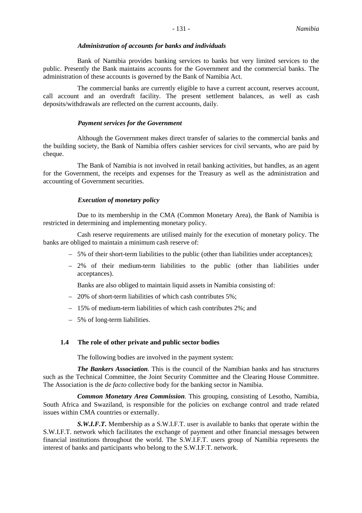#### *Administration of accounts for banks and individuals*

Bank of Namibia provides banking services to banks but very limited services to the public. Presently the Bank maintains accounts for the Government and the commercial banks. The administration of these accounts is governed by the Bank of Namibia Act.

The commercial banks are currently eligible to have a current account, reserves account, call account and an overdraft facility. The present settlement balances, as well as cash deposits/withdrawals are reflected on the current accounts, daily.

#### *Payment services for the Government*

Although the Government makes direct transfer of salaries to the commercial banks and the building society, the Bank of Namibia offers cashier services for civil servants, who are paid by cheque.

The Bank of Namibia is not involved in retail banking activities, but handles, as an agent for the Government, the receipts and expenses for the Treasury as well as the administration and accounting of Government securities.

#### *Execution of monetary policy*

Due to its membership in the CMA (Common Monetary Area), the Bank of Namibia is restricted in determining and implementing monetary policy.

Cash reserve requirements are utilised mainly for the execution of monetary policy. The banks are obliged to maintain a minimum cash reserve of:

- 5% of their short-term liabilities to the public (other than liabilities under acceptances);
- 2% of their medium-term liabilities to the public (other than liabilities under acceptances).

Banks are also obliged to maintain liquid assets in Namibia consisting of:

- 20% of short-term liabilities of which cash contributes 5%;
- 15% of medium-term liabilities of which cash contributes 2%; and
- 5% of long-term liabilities.

#### **1.4 The role of other private and public sector bodies**

The following bodies are involved in the payment system:

*The Bankers Association*. This is the council of the Namibian banks and has structures such as the Technical Committee, the Joint Security Committee and the Clearing House Committee. The Association is the *de facto* collective body for the banking sector in Namibia.

*Common Monetary Area Commission*. This grouping, consisting of Lesotho, Namibia, South Africa and Swaziland, is responsible for the policies on exchange control and trade related issues within CMA countries or externally.

*S.W.I.F.T.* Membership as a S.W.I.F.T. user is available to banks that operate within the S.W.I.F.T. network which facilitates the exchange of payment and other financial messages between financial institutions throughout the world. The S.W.I.F.T. users group of Namibia represents the interest of banks and participants who belong to the S.W.I.F.T. network.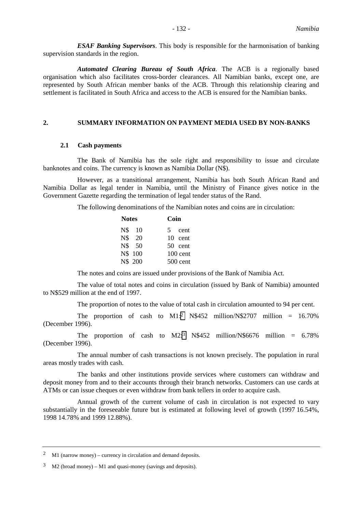*ESAF Banking Supervisors*. This body is responsible for the harmonisation of banking supervision standards in the region.

*Automated Clearing Bureau of South Africa*. The ACB is a regionally based organisation which also facilitates cross-border clearances. All Namibian banks, except one, are represented by South African member banks of the ACB. Through this relationship clearing and settlement is facilitated in South Africa and access to the ACB is ensured for the Namibian banks.

#### **2. SUMMARY INFORMATION ON PAYMENT MEDIA USED BY NON-BANKS**

#### **2.1 Cash payments**

The Bank of Namibia has the sole right and responsibility to issue and circulate banknotes and coins. The currency is known as Namibia Dollar (N\$).

However, as a transitional arrangement, Namibia has both South African Rand and Namibia Dollar as legal tender in Namibia, until the Ministry of Finance gives notice in the Government Gazette regarding the termination of legal tender status of the Rand.

The following denominations of the Namibian notes and coins are in circulation:

| <b>Notes</b> | Coin |           |  |  |
|--------------|------|-----------|--|--|
| N\$ 10       |      | 5 cent    |  |  |
| N\$ 20       |      | 10 cent   |  |  |
| N\$ 50       |      | $50$ cent |  |  |
| N\$ 100      |      | 100 cent  |  |  |
| N\$ 200      |      | 500 cent  |  |  |
|              |      |           |  |  |

The notes and coins are issued under provisions of the Bank of Namibia Act.

The value of total notes and coins in circulation (issued by Bank of Namibia) amounted to N\$529 million at the end of 1997.

The proportion of notes to the value of total cash in circulation amounted to 94 per cent.

The proportion of cash to  $M1$ :<sup>2</sup> N\$452 million/N\$2707 million = 16.70% (December 1996).

The proportion of cash to  $M2:3 N$452 million/N$6676 million = 6.78\%$ (December 1996).

The annual number of cash transactions is not known precisely. The population in rural areas mostly trades with cash.

The banks and other institutions provide services where customers can withdraw and deposit money from and to their accounts through their branch networks. Customers can use cards at ATMs or can issue cheques or even withdraw from bank tellers in order to acquire cash.

Annual growth of the current volume of cash in circulation is not expected to vary substantially in the foreseeable future but is estimated at following level of growth (1997 16.54%, 1998 14.78% and 1999 12.88%).

<sup>2</sup> M1 (narrow money) – currency in circulation and demand deposits.

<sup>3</sup> M2 (broad money) – M1 and quasi-money (savings and deposits).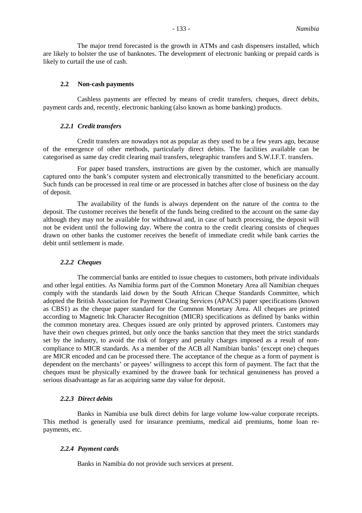The major trend forecasted is the growth in ATMs and cash dispensers installed, which are likely to bolster the use of banknotes. The development of electronic banking or prepaid cards is likely to curtail the use of cash.

#### **2.2 Non-cash payments**

Cashless payments are effected by means of credit transfers, cheques, direct debits, payment cards and, recently, electronic banking (also known as home banking) products.

#### *2.2.1 Credit transfers*

Credit transfers are nowadays not as popular as they used to be a few years ago, because of the emergence of other methods, particularly direct debits. The facilities available can be categorised as same day credit clearing mail transfers, telegraphic transfers and S.W.I.F.T. transfers.

For paper based transfers, instructions are given by the customer, which are manually captured onto the bank's computer system and electronically transmitted to the beneficiary account. Such funds can be processed in real time or are processed in batches after close of business on the day of deposit.

The availability of the funds is always dependent on the nature of the contra to the deposit. The customer receives the benefit of the funds being credited to the account on the same day although they may not be available for withdrawal and, in case of batch processing, the deposit will not be evident until the following day. Where the contra to the credit clearing consists of cheques drawn on other banks the customer receives the benefit of immediate credit while bank carries the debit until settlement is made.

#### *2.2.2 Cheques*

The commercial banks are entitled to issue cheques to customers, both private individuals and other legal entities. As Namibia forms part of the Common Monetary Area all Namibian cheques comply with the standards laid down by the South African Cheque Standards Committee, which adopted the British Association for Payment Clearing Services (APACS) paper specifications (known as CBS1) as the cheque paper standard for the Common Monetary Area. All cheques are printed according to Magnetic Ink Character Recognition (MICR) specifications as defined by banks within the common monetary area. Cheques issued are only printed by approved printers. Customers may have their own cheques printed, but only once the banks sanction that they meet the strict standards set by the industry, to avoid the risk of forgery and penalty charges imposed as a result of noncompliance to MICR standards. As a member of the ACB all Namibian banks' (except one) cheques are MICR encoded and can be processed there. The acceptance of the cheque as a form of payment is dependent on the merchants' or payees' willingness to accept this form of payment. The fact that the cheques must be physically examined by the drawee bank for technical genuineness has proved a serious disadvantage as far as acquiring same day value for deposit.

# *2.2.3 Direct debits*

Banks in Namibia use bulk direct debits for large volume low-value corporate receipts. This method is generally used for insurance premiums, medical aid premiums, home loan repayments, etc.

#### *2.2.4 Payment cards*

Banks in Namibia do not provide such services at present.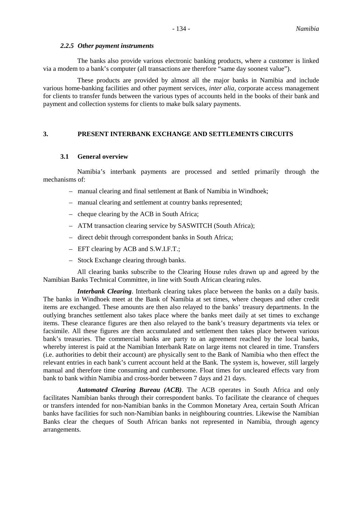#### *2.2.5 Other payment instruments*

The banks also provide various electronic banking products, where a customer is linked via a modem to a bank's computer (all transactions are therefore "same day soonest value").

These products are provided by almost all the major banks in Namibia and include various home-banking facilities and other payment services, *inter alia,* corporate access management for clients to transfer funds between the various types of accounts held in the books of their bank and payment and collection systems for clients to make bulk salary payments.

# **3. PRESENT INTERBANK EXCHANGE AND SETTLEMENTS CIRCUITS**

#### **3.1 General overview**

Namibia's interbank payments are processed and settled primarily through the mechanisms of:

- manual clearing and final settlement at Bank of Namibia in Windhoek;
- manual clearing and settlement at country banks represented;
- cheque clearing by the ACB in South Africa;
- ATM transaction clearing service by SASWITCH (South Africa);
- direct debit through correspondent banks in South Africa;
- EFT clearing by ACB and S.W.I.F.T.;
- Stock Exchange clearing through banks.

All clearing banks subscribe to the Clearing House rules drawn up and agreed by the Namibian Banks Technical Committee, in line with South African clearing rules.

*Interbank Clearing*. Interbank clearing takes place between the banks on a daily basis. The banks in Windhoek meet at the Bank of Namibia at set times, where cheques and other credit items are exchanged. These amounts are then also relayed to the banks' treasury departments. In the outlying branches settlement also takes place where the banks meet daily at set times to exchange items. These clearance figures are then also relayed to the bank's treasury departments via telex or facsimile. All these figures are then accumulated and settlement then takes place between various bank's treasuries. The commercial banks are party to an agreement reached by the local banks, whereby interest is paid at the Namibian Interbank Rate on large items not cleared in time. Transfers (i.e. authorities to debit their account) are physically sent to the Bank of Namibia who then effect the relevant entries in each bank's current account held at the Bank. The system is, however, still largely manual and therefore time consuming and cumbersome. Float times for uncleared effects vary from bank to bank within Namibia and cross-border between 7 days and 21 days.

*Automated Clearing Bureau (ACB)*. The ACB operates in South Africa and only facilitates Namibian banks through their correspondent banks. To facilitate the clearance of cheques or transfers intended for non-Namibian banks in the Common Monetary Area, certain South African banks have facilities for such non-Namibian banks in neighbouring countries. Likewise the Namibian Banks clear the cheques of South African banks not represented in Namibia, through agency arrangements.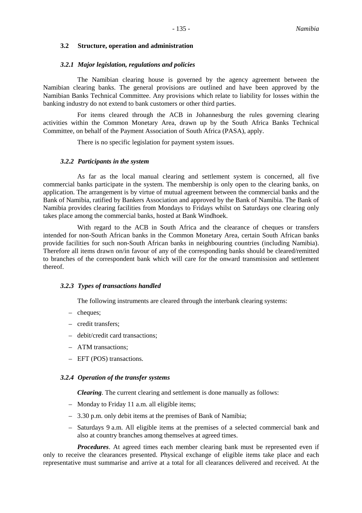#### **3.2 Structure, operation and administration**

#### *3.2.1 Major legislation, regulations and policies*

The Namibian clearing house is governed by the agency agreement between the Namibian clearing banks. The general provisions are outlined and have been approved by the Namibian Banks Technical Committee. Any provisions which relate to liability for losses within the banking industry do not extend to bank customers or other third parties.

For items cleared through the ACB in Johannesburg the rules governing clearing activities within the Common Monetary Area, drawn up by the South Africa Banks Technical Committee, on behalf of the Payment Association of South Africa (PASA), apply.

There is no specific legislation for payment system issues.

#### *3.2.2 Participants in the system*

As far as the local manual clearing and settlement system is concerned, all five commercial banks participate in the system. The membership is only open to the clearing banks, on application. The arrangement is by virtue of mutual agreement between the commercial banks and the Bank of Namibia, ratified by Bankers Association and approved by the Bank of Namibia. The Bank of Namibia provides clearing facilities from Mondays to Fridays whilst on Saturdays one clearing only takes place among the commercial banks, hosted at Bank Windhoek.

With regard to the ACB in South Africa and the clearance of cheques or transfers intended for non-South African banks in the Common Monetary Area, certain South African banks provide facilities for such non-South African banks in neighbouring countries (including Namibia). Therefore all items drawn on/in favour of any of the corresponding banks should be cleared/remitted to branches of the correspondent bank which will care for the onward transmission and settlement thereof.

#### *3.2.3 Types of transactions handled*

The following instruments are cleared through the interbank clearing systems:

- cheques;
- credit transfers;
- debit/credit card transactions;
- ATM transactions;
- EFT (POS) transactions.

#### *3.2.4 Operation of the transfer systems*

*Clearing*. The current clearing and settlement is done manually as follows:

- Monday to Friday 11 a.m. all eligible items;
- 3.30 p.m. only debit items at the premises of Bank of Namibia;
- Saturdays 9 a.m. All eligible items at the premises of a selected commercial bank and also at country branches among themselves at agreed times.

*Procedures*. At agreed times each member clearing bank must be represented even if only to receive the clearances presented. Physical exchange of eligible items take place and each representative must summarise and arrive at a total for all clearances delivered and received. At the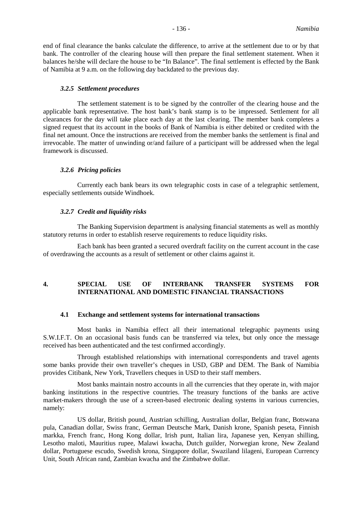end of final clearance the banks calculate the difference, to arrive at the settlement due to or by that bank. The controller of the clearing house will then prepare the final settlement statement. When it balances he/she will declare the house to be "In Balance". The final settlement is effected by the Bank of Namibia at 9 a.m. on the following day backdated to the previous day.

#### *3.2.5 Settlement procedures*

The settlement statement is to be signed by the controller of the clearing house and the applicable bank representative. The host bank's bank stamp is to be impressed. Settlement for all clearances for the day will take place each day at the last clearing. The member bank completes a signed request that its account in the books of Bank of Namibia is either debited or credited with the final net amount. Once the instructions are received from the member banks the settlement is final and irrevocable. The matter of unwinding or/and failure of a participant will be addressed when the legal framework is discussed.

#### *3.2.6 Pricing policies*

Currently each bank bears its own telegraphic costs in case of a telegraphic settlement, especially settlements outside Windhoek.

#### *3.2.7 Credit and liquidity risks*

The Banking Supervision department is analysing financial statements as well as monthly statutory returns in order to establish reserve requirements to reduce liquidity risks.

Each bank has been granted a secured overdraft facility on the current account in the case of overdrawing the accounts as a result of settlement or other claims against it.

# **4. SPECIAL USE OF INTERBANK TRANSFER SYSTEMS FOR INTERNATIONAL AND DOMESTIC FINANCIAL TRANSACTIONS**

#### **4.1 Exchange and settlement systems for international transactions**

Most banks in Namibia effect all their international telegraphic payments using S.W.I.F.T. On an occasional basis funds can be transferred via telex, but only once the message received has been authenticated and the test confirmed accordingly.

Through established relationships with international correspondents and travel agents some banks provide their own traveller's cheques in USD, GBP and DEM. The Bank of Namibia provides Citibank, New York, Travellers cheques in USD to their staff members.

Most banks maintain nostro accounts in all the currencies that they operate in, with major banking institutions in the respective countries. The treasury functions of the banks are active market-makers through the use of a screen-based electronic dealing systems in various currencies, namely:

US dollar, British pound, Austrian schilling, Australian dollar, Belgian franc, Botswana pula, Canadian dollar, Swiss franc, German Deutsche Mark, Danish krone, Spanish peseta, Finnish markka, French franc, Hong Kong dollar, Irish punt, Italian lira, Japanese yen, Kenyan shilling, Lesotho maloti, Mauritius rupee, Malawi kwacha, Dutch guilder, Norwegian krone, New Zealand dollar, Portuguese escudo, Swedish krona, Singapore dollar, Swaziland lilageni, European Currency Unit, South African rand, Zambian kwacha and the Zimbabwe dollar.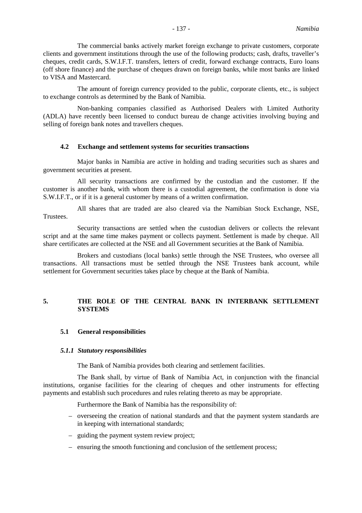The commercial banks actively market foreign exchange to private customers, corporate clients and government institutions through the use of the following products; cash, drafts, traveller's cheques, credit cards, S.W.I.F.T. transfers, letters of credit, forward exchange contracts, Euro loans (off shore finance) and the purchase of cheques drawn on foreign banks, while most banks are linked to VISA and Mastercard.

The amount of foreign currency provided to the public, corporate clients, etc., is subject to exchange controls as determined by the Bank of Namibia.

Non-banking companies classified as Authorised Dealers with Limited Authority (ADLA) have recently been licensed to conduct bureau de change activities involving buying and selling of foreign bank notes and travellers cheques.

#### **4.2 Exchange and settlement systems for securities transactions**

Major banks in Namibia are active in holding and trading securities such as shares and government securities at present.

All security transactions are confirmed by the custodian and the customer. If the customer is another bank, with whom there is a custodial agreement, the confirmation is done via S.W.I.F.T., or if it is a general customer by means of a written confirmation.

All shares that are traded are also cleared via the Namibian Stock Exchange, NSE, Trustees.

Security transactions are settled when the custodian delivers or collects the relevant script and at the same time makes payment or collects payment. Settlement is made by cheque. All share certificates are collected at the NSE and all Government securities at the Bank of Namibia.

Brokers and custodians (local banks) settle through the NSE Trustees, who oversee all transactions. All transactions must be settled through the NSE Trustees bank account, while settlement for Government securities takes place by cheque at the Bank of Namibia.

# **5. THE ROLE OF THE CENTRAL BANK IN INTERBANK SETTLEMENT SYSTEMS**

#### **5.1 General responsibilities**

#### *5.1.1 Statutory responsibilities*

The Bank of Namibia provides both clearing and settlement facilities.

The Bank shall, by virtue of Bank of Namibia Act, in conjunction with the financial institutions, organise facilities for the clearing of cheques and other instruments for effecting payments and establish such procedures and rules relating thereto as may be appropriate.

Furthermore the Bank of Namibia has the responsibility of:

- overseeing the creation of national standards and that the payment system standards are in keeping with international standards;
- guiding the payment system review project;
- ensuring the smooth functioning and conclusion of the settlement process;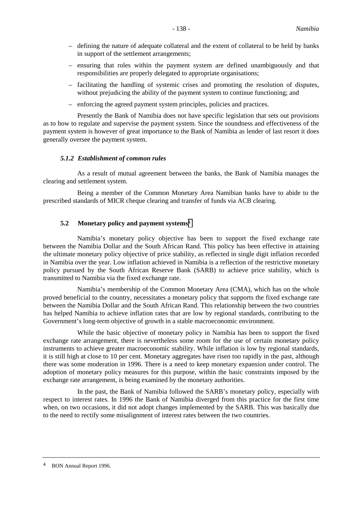- defining the nature of adequate collateral and the extent of collateral to be held by banks in support of the settlement arrangements;
- ensuring that roles within the payment system are defined unambiguously and that responsibilities are properly delegated to appropriate organisations;
- facilitating the handling of systemic crises and promoting the resolution of disputes, without prejudicing the ability of the payment system to continue functioning; and
- enforcing the agreed payment system principles, policies and practices.

Presently the Bank of Namibia does not have specific legislation that sets out provisions as to how to regulate and supervise the payment system. Since the soundness and effectiveness of the payment system is however of great importance to the Bank of Namibia as lender of last resort it does generally oversee the payment system.

# *5.1.2 Establishment of common rules*

As a result of mutual agreement between the banks, the Bank of Namibia manages the clearing and settlement system.

Being a member of the Common Monetary Area Namibian banks have to abide to the prescribed standards of MICR cheque clearing and transfer of funds via ACB clearing.

# **5.2 Monetary policy and payment systems**<sup>4</sup>

Namibia's monetary policy objective has been to support the fixed exchange rate between the Namibia Dollar and the South African Rand. This policy has been effective in attaining the ultimate monetary policy objective of price stability, as reflected in single digit inflation recorded in Namibia over the year. Low inflation achieved in Namibia is a reflection of the restrictive monetary policy pursued by the South African Reserve Bank (SARB) to achieve price stability, which is transmitted to Namibia via the fixed exchange rate.

Namibia's membership of the Common Monetary Area (CMA), which has on the whole proved beneficial to the country, necessitates a monetary policy that supports the fixed exchange rate between the Namibia Dollar and the South African Rand. This relationship between the two countries has helped Namibia to achieve inflation rates that are low by regional standards, contributing to the Government's long-term objective of growth in a stable macroeconomic environment.

While the basic objective of monetary policy in Namibia has been to support the fixed exchange rate arrangement, there is nevertheless some room for the use of certain monetary policy instruments to achieve greater macroeconomic stability. While inflation is low by regional standards, it is still high at close to 10 per cent. Monetary aggregates have risen too rapidly in the past, although there was some moderation in 1996. There is a need to keep monetary expansion under control. The adoption of monetary policy measures for this purpose, within the basic constraints imposed by the exchange rate arrangement, is being examined by the monetary authorities.

In the past, the Bank of Namibia followed the SARB's monetary policy, especially with respect to interest rates. In 1996 the Bank of Namibia diverged from this practice for the first time when, on two occasions, it did not adopt changes implemented by the SARB. This was basically due to the need to rectify some misalignment of interest rates between the two countries.

<sup>4</sup> BON Annual Report 1996.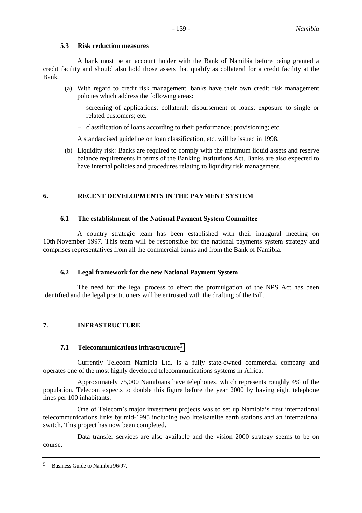#### **5.3 Risk reduction measures**

A bank must be an account holder with the Bank of Namibia before being granted a credit facility and should also hold those assets that qualify as collateral for a credit facility at the Bank.

- (a) With regard to credit risk management, banks have their own credit risk management policies which address the following areas:
	- screening of applications; collateral; disbursement of loans; exposure to single or related customers; etc.
	- classification of loans according to their performance; provisioning; etc.

A standardised guideline on loan classification, etc. will be issued in 1998.

(b) Liquidity risk: Banks are required to comply with the minimum liquid assets and reserve balance requirements in terms of the Banking Institutions Act. Banks are also expected to have internal policies and procedures relating to liquidity risk management.

# **6. RECENT DEVELOPMENTS IN THE PAYMENT SYSTEM**

#### **6.1 The establishment of the National Payment System Committee**

A country strategic team has been established with their inaugural meeting on 10th November 1997. This team will be responsible for the national payments system strategy and comprises representatives from all the commercial banks and from the Bank of Namibia.

# **6.2 Legal framework for the new National Payment System**

The need for the legal process to effect the promulgation of the NPS Act has been identified and the legal practitioners will be entrusted with the drafting of the Bill.

# **7. INFRASTRUCTURE**

#### **7.1 Telecommunications infrastructure**<sup>5</sup>

Currently Telecom Namibia Ltd. is a fully state-owned commercial company and operates one of the most highly developed telecommunications systems in Africa.

Approximately 75,000 Namibians have telephones, which represents roughly 4% of the population. Telecom expects to double this figure before the year 2000 by having eight telephone lines per 100 inhabitants.

One of Telecom's major investment projects was to set up Namibia's first international telecommunications links by mid-1995 including two Intelsatelite earth stations and an international switch. This project has now been completed.

Data transfer services are also available and the vision 2000 strategy seems to be on course.

<sup>5</sup> Business Guide to Namibia 96/97.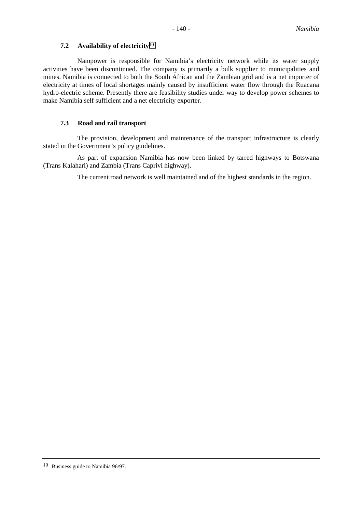# **7.2 Availability of electricity**<sup>10</sup>

Nampower is responsible for Namibia's electricity network while its water supply activities have been discontinued. The company is primarily a bulk supplier to municipalities and mines. Namibia is connected to both the South African and the Zambian grid and is a net importer of electricity at times of local shortages mainly caused by insufficient water flow through the Ruacana hydro-electric scheme. Presently there are feasibility studies under way to develop power schemes to make Namibia self sufficient and a net electricity exporter.

# **7.3 Road and rail transport**

The provision, development and maintenance of the transport infrastructure is clearly stated in the Government's policy guidelines.

As part of expansion Namibia has now been linked by tarred highways to Botswana (Trans Kalahari) and Zambia (Trans Caprivi highway).

The current road network is well maintained and of the highest standards in the region.

<sup>10</sup> Business guide to Namibia 96/97.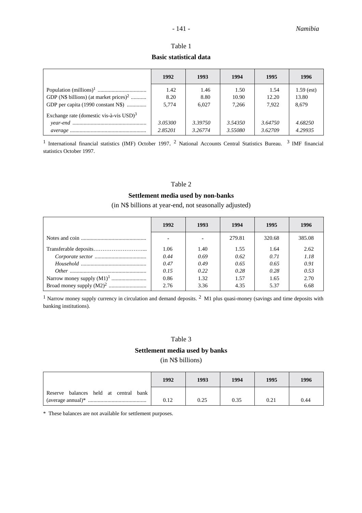# Table 1 **Basic statistical data**

|                                                        | 1992         | 1993         | 1994          | 1995          | 1996                  |
|--------------------------------------------------------|--------------|--------------|---------------|---------------|-----------------------|
| GDP (N\$ billions) (at market prices) <sup>2</sup>     | 1.42<br>8.20 | 1.46<br>8.80 | 1.50<br>10.90 | 1.54<br>12.20 | $1.59$ (est)<br>13.80 |
| GDP per capita (1990 constant N\$)                     | 5,774        | 6.027        | 7,266         | 7.922         | 8,679                 |
| Exchange rate (domestic vis-à-vis $USD$ ) <sup>3</sup> |              |              |               |               |                       |
|                                                        | 3.05300      | 3.39750      | 3.54350       | 3.64750       | 4.68250               |
|                                                        | 2.85201      | 3.26774      | 3.55080       | 3.62709       | 4.29935               |

1 International financial statistics (IMF) October 1997. 2 National Accounts Central Statistics Bureau. 3 IMF financial statistics October 1997.

# Table 2

### **Settlement media used by non-banks**

# (in N\$ billions at year-end, not seasonally adjusted)

| 1992 | 1993 | 1994   | 1995   | 1996   |
|------|------|--------|--------|--------|
|      | ۰    | 279.81 | 320.68 | 385.08 |
| 1.06 | 1.40 | 1.55   | 1.64   | 2.62   |
| 0.44 | 0.69 | 0.62   | 0.71   | 1.18   |
| 0.47 | 0.49 | 0.65   | 0.65   | 0.91   |
| 0.15 | 0.22 | 0.28   | 0.28   | 0.53   |
| 0.86 | 1.32 | 1.57   | 1.65   | 2.70   |
| 2.76 | 3.36 | 4.35   | 5.37   | 6.68   |

<sup>1</sup> Narrow money supply currency in circulation and demand deposits. <sup>2</sup> M1 plus quasi-money (savings and time deposits with banking institutions).

# Table 3

# **Settlement media used by banks**

(in N\$ billions)

|                                                                       | 1992 | 1993 | 1994 | 1995 | 1996 |
|-----------------------------------------------------------------------|------|------|------|------|------|
| balances held at central<br>Reserve<br>bank<br>(average annual) $*$ . | 0.12 | 0.25 | 0.35 | 0.21 | 0.44 |

\* These balances are not available for settlement purposes.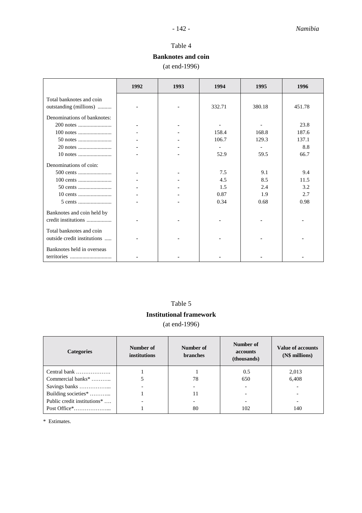# **Banknotes and coin**

(at end-1996)

|                                                         | 1992 | 1993 | 1994                     | 1995                     | 1996   |
|---------------------------------------------------------|------|------|--------------------------|--------------------------|--------|
| Total banknotes and coin                                |      |      |                          |                          |        |
| outstanding (millions)                                  |      |      | 332.71                   | 380.18                   | 451.78 |
|                                                         |      |      |                          |                          |        |
| Denominations of banknotes:                             |      |      |                          |                          |        |
|                                                         |      |      |                          |                          | 23.8   |
|                                                         |      |      | 158.4                    | 168.8                    | 187.6  |
|                                                         |      |      | 106.7                    | 129.3                    | 137.1  |
|                                                         |      |      | $\overline{\phantom{a}}$ | $\overline{\phantom{a}}$ | 8.8    |
|                                                         |      |      | 52.9                     | 59.5                     | 66.7   |
| Denominations of coin:                                  |      |      |                          |                          |        |
|                                                         |      |      | 7.5                      | 9.1                      | 9.4    |
|                                                         |      |      | 4.5                      | 8.5                      | 11.5   |
|                                                         |      |      | 1.5                      | 2.4                      | 3.2    |
|                                                         |      |      | 0.87                     | 1.9                      | 2.7    |
|                                                         |      |      | 0.34                     | 0.68                     | 0.98   |
| Banknotes and coin held by<br>credit institutions       |      |      |                          |                          |        |
| Total banknotes and coin<br>outside credit institutions |      |      |                          |                          |        |
| Banknotes held in overseas                              |      |      |                          |                          |        |

# Table 5

# **Institutional framework**

(at end-1996)

| <b>Categories</b>             | Number of<br><b>institutions</b> | Number of<br><b>branches</b> | Number of<br>accounts<br>(thousands) | <b>Value of accounts</b><br>(N\$ millions) |
|-------------------------------|----------------------------------|------------------------------|--------------------------------------|--------------------------------------------|
| Central bank                  |                                  |                              | 0.5                                  | 2,013                                      |
| Commercial banks <sup>*</sup> |                                  | 78                           | 650                                  | 6,408                                      |
|                               |                                  |                              |                                      |                                            |
| Building societies*           |                                  | 11                           |                                      |                                            |
| Public credit institutions*   |                                  |                              |                                      |                                            |
|                               |                                  | 80                           | 102                                  | 140                                        |

\* Estimates.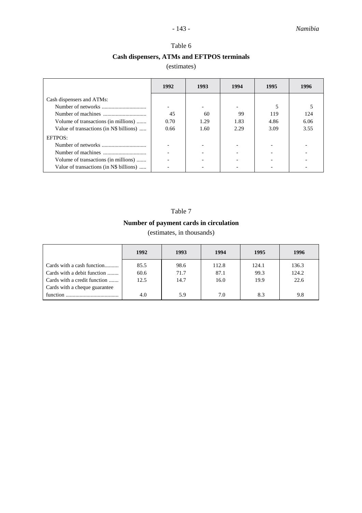# Table 6 **Cash dispensers, ATMs and EFTPOS terminals**

# (estimates)

|                                         | 1992 | 1993                     | 1994 | 1995 | 1996 |
|-----------------------------------------|------|--------------------------|------|------|------|
| Cash dispensers and ATMs:               |      |                          |      |      |      |
|                                         |      | $\overline{\phantom{0}}$ |      | 5    |      |
|                                         | 45   | 60                       | 99   | 119  | 124  |
| Volume of transactions (in millions)    | 0.70 | 1.29                     | 1.83 | 4.86 | 6.06 |
| Value of transactions (in N\$ billions) | 0.66 | 1.60                     | 2.29 | 3.09 | 3.55 |
| EFTPOS:                                 |      |                          |      |      |      |
|                                         |      |                          |      |      |      |
|                                         |      |                          |      |      |      |
| Volume of transactions (in millions)    |      |                          |      |      |      |
| Value of transactions (in N\$ billions) |      |                          |      |      |      |
|                                         |      |                          |      |      |      |

# Table 7

# **Number of payment cards in circulation**

(estimates, in thousands)

|                               | 1992 | 1993 | 1994  | 1995  | 1996  |
|-------------------------------|------|------|-------|-------|-------|
| Cards with a cash function    | 85.5 | 98.6 | 112.8 | 124.1 | 136.3 |
| Cards with a debit function   | 60.6 | 71.7 | 87.1  | 99.3  | 124.2 |
| Cards with a credit function  | 12.5 | 14.7 | 16.0  | 19.9  | 22.6  |
| Cards with a cheque guarantee |      |      |       |       |       |
| function                      | 4.0  | 5.9  | 7.0   | 8.3   | 9.8   |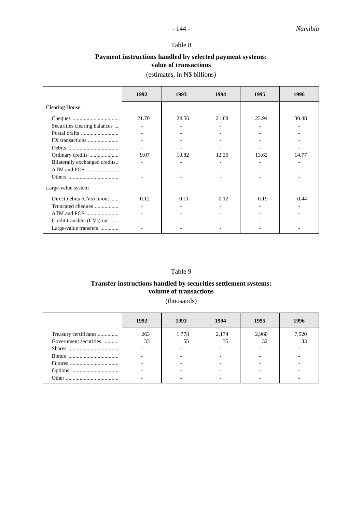# **Payment instructions handled by selected payment systems: value of transactions**

(estimates, in N\$ billions)

|                               | 1992  | 1993  | 1994  | 1995  | 1996  |
|-------------------------------|-------|-------|-------|-------|-------|
| <b>Clearing House:</b>        |       |       |       |       |       |
|                               | 21.70 | 24.56 | 21.88 | 23.94 | 30.48 |
| Securities clearing balances  |       |       |       |       |       |
|                               |       |       |       |       |       |
|                               |       |       |       |       |       |
|                               |       |       |       |       |       |
| Ordinary credits              | 9.07  | 10.82 | 12.30 | 13.62 | 14.77 |
| Bilaterally exchanged credits |       |       |       |       |       |
|                               |       |       |       |       |       |
|                               |       |       |       |       |       |
| Large-value system            |       |       |       |       |       |
| Direct debits $(CVs)$ in\out  | 0.12  | 0.11  | 0.12  | 0.19  | 0.44  |
| Truncated cheques             |       |       |       |       |       |
|                               |       |       |       |       |       |
| Credit transfers (CVs) out    |       |       |       |       |       |
| Large-value transfers         |       |       |       |       |       |

# Table 9

# **Transfer instructions handled by securities settlement systems: volume of transactions**

(thousands)

|                       | 1992 | 1993  | 1994  | 1995  | 1996  |
|-----------------------|------|-------|-------|-------|-------|
| Treasury certificates | 263  | 1,778 | 2,174 | 2,960 | 7,520 |
| Government securities | 33   | 55    | 35    | 32    | 33    |
|                       |      |       |       |       |       |
|                       |      |       |       |       |       |
|                       |      |       |       |       |       |
|                       |      |       |       |       |       |
|                       |      |       |       |       |       |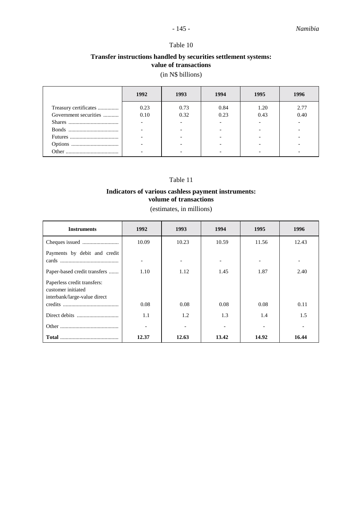# **Transfer instructions handled by securities settlement systems: value of transactions**

# (in N\$ billions)

|                       | 1992 | 1993 | 1994 | 1995 | 1996 |
|-----------------------|------|------|------|------|------|
| Treasury certificates | 0.23 | 0.73 | 0.84 | 1.20 | 2.77 |
| Government securities | 0.10 | 0.32 | 0.23 | 0.43 | 0.40 |
|                       |      |      |      |      |      |
|                       |      |      |      |      |      |
|                       |      |      |      |      |      |
|                       |      |      |      |      |      |
|                       |      |      |      |      |      |

# Table 11

# **Indicators of various cashless payment instruments: volume of transactions**

(estimates, in millions)

| <b>Instruments</b>                                                                | 1992  | 1993                     | 1994  | 1995  | 1996  |
|-----------------------------------------------------------------------------------|-------|--------------------------|-------|-------|-------|
|                                                                                   | 10.09 | 10.23                    | 10.59 | 11.56 | 12.43 |
| Payments by debit and credit                                                      |       | $\overline{\phantom{0}}$ |       |       |       |
| Paper-based credit transfers                                                      | 1.10  | 1.12                     | 1.45  | 1.87  | 2.40  |
| Paperless credit transfers:<br>customer initiated<br>interbank/large-value direct |       |                          |       |       |       |
|                                                                                   | 0.08  | 0.08                     | 0.08  | 0.08  | 0.11  |
|                                                                                   | 1.1   | 1.2                      | 1.3   | 1.4   | 1.5   |
|                                                                                   |       |                          |       |       |       |
|                                                                                   | 12.37 | 12.63                    | 13.42 | 14.92 | 16.44 |